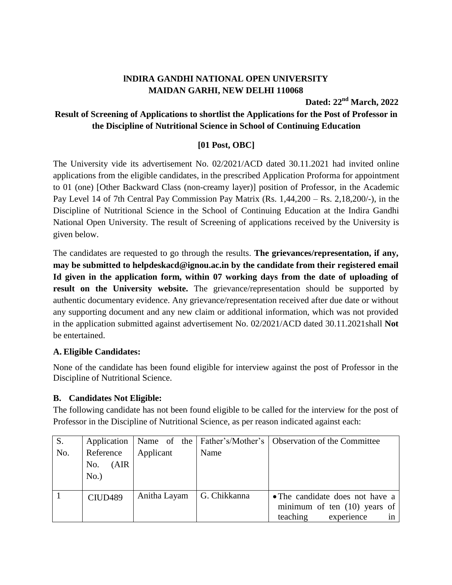# **lNDIRA GANDHI NATIONAL OPEN UNIVERSITY MAIDAN GARHI, NEW DELHI 110068**

**Dated: 22nd March, 2022**

## **Result of Screening of Applications to shortlist the Applications for the Post of Professor in the Discipline of Nutritional Science in School of Continuing Education**

### **[01 Post, OBC]**

The University vide its advertisement No. 02/2021/ACD dated 30.11.2021 had invited online applications from the eligible candidates, in the prescribed Application Proforma for appointment to 01 (one) [Other Backward Class (non-creamy layer)] position of Professor, in the Academic Pay Level 14 of 7th Central Pay Commission Pay Matrix (Rs. 1,44,200 – Rs. 2,18,200/-), in the Discipline of Nutritional Science in the School of Continuing Education at the Indira Gandhi National Open University. The result of Screening of applications received by the University is given below.

The candidates are requested to go through the results. **The grievances/representation, if any, may be submitted to helpdeskacd@ignou.ac.in by the candidate from their registered email Id given in the application form, within 07 working days from the date of uploading of**  result on the University website. The grievance/representation should be supported by authentic documentary evidence. Any grievance/representation received after due date or without any supporting document and any new claim or additional information, which was not provided in the application submitted against advertisement No. 02/2021/ACD dated 30.11.2021shall **Not** be entertained.

#### **A. Eligible Candidates:**

None of the candidate has been found eligible for interview against the post of Professor in the Discipline of Nutritional Science.

## **B. Candidates Not Eligible:**

The following candidate has not been found eligible to be called for the interview for the post of Professor in the Discipline of Nutritional Science, as per reason indicated against each:

| $S_{\cdot}$ | Application                          |              |              | Name of the   Father's/Mother's   Observation of the Committee                                    |
|-------------|--------------------------------------|--------------|--------------|---------------------------------------------------------------------------------------------------|
| No.         | Reference<br>(AIR)<br>No.<br>$No.$ ) | Applicant    | Name         |                                                                                                   |
|             | CIUD <sub>489</sub>                  | Anitha Layam | G. Chikkanna | • The candidate does not have a<br>minimum of ten $(10)$ years of<br>teaching<br>experience<br>in |